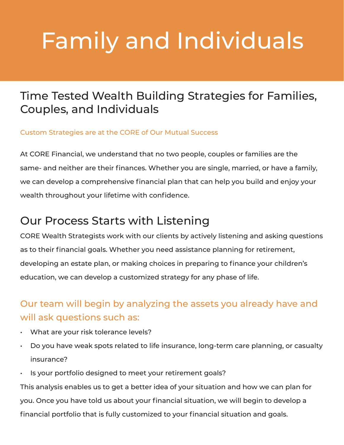# Family and Individuals

## Time Tested Wealth Building Strategies for Families, Couples, and Individuals

#### Custom Strategies are at the CORE of Our Mutual Success

At CORE Financial, we understand that no two people, couples or families are the same- and neither are their finances. Whether you are single, married, or have a family, we can develop a comprehensive financial plan that can help you build and enjoy your wealth throughout your lifetime with confidence.

### Our Process Starts with Listening

CORE Wealth Strategists work with our clients by actively listening and asking questions as to their financial goals. Whether you need assistance planning for retirement, developing an estate plan, or making choices in preparing to finance your children's education, we can develop a customized strategy for any phase of life.

### Our team will begin by analyzing the assets you already have and will ask questions such as:

- What are your risk tolerance levels?
- Do you have weak spots related to life insurance, long-term care planning, or casualty insurance?
- Is your portfolio designed to meet your retirement goals?

This analysis enables us to get a better idea of your situation and how we can plan for you. Once you have told us about your financial situation, we will begin to develop a financial portfolio that is fully customized to your financial situation and goals.